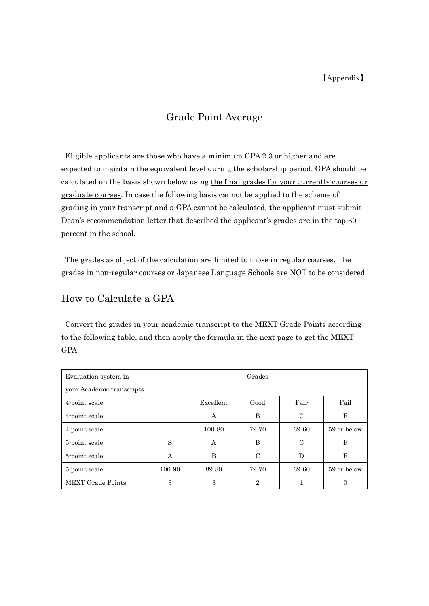## Grade Point Average

 Eligible applicants are those who have a minimum GPA 2.3 or higher and are expected to maintain the equivalent level during the scholarship period. GPA should be calculated on the basis shown below using the final grades for your currently courses or graduate courses. In case the following basis cannot be applied to the scheme of grading in your transcript and a GPA cannot be calculated, the applicant must submit Dean's recommendation letter that described the applicant's grades are in the top 30 percent in the school.

 The grades as object of the calculation are limited to those in regular courses. The grades in non-regular courses or Japanese Language Schools are NOT to be considered.

## How to Calculate a GPA

 Convert the grades in your academic transcript to the MEXT Grade Points according to the following table, and then apply the formula in the next page to get the MEXT GPA.

| Evaluation system in      | Grades |            |                |               |             |
|---------------------------|--------|------------|----------------|---------------|-------------|
| your Academic transcripts |        |            |                |               |             |
| 4-point scale             |        | Excellent  | Good           | Fair          | Fail        |
| 4-point scale             |        | А          | B              | C             | F           |
| 4-point scale             |        | $100 - 80$ | 79-70          | 69-60         | 59 or below |
| 5-point scale             | S      | A          | B              | $\mathcal{C}$ | F           |
| 5-point scale             | A      | B          | $\mathcal{C}$  | D             | $_{\rm F}$  |
| 5-point scale             | 100-90 | 89-80      | 79-70          | 69-60         | 59 or below |
| <b>MEXT Grade Points</b>  | 3      | 3          | $\overline{2}$ |               | 0           |